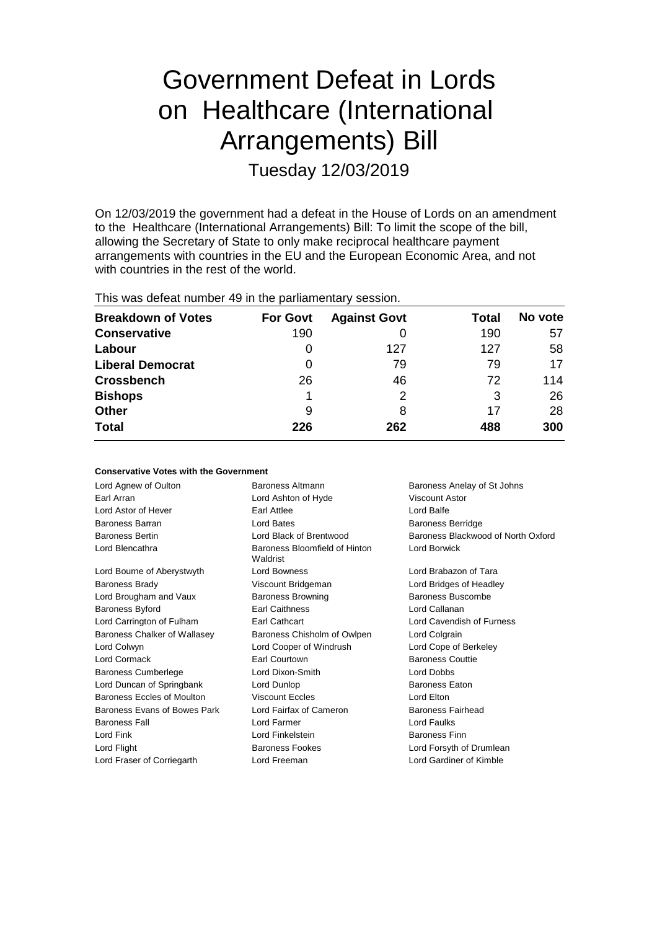# Government Defeat in Lords on Healthcare (International Arrangements) Bill Tuesday 12/03/2019

On 12/03/2019 the government had a defeat in the House of Lords on an amendment to the Healthcare (International Arrangements) Bill: To limit the scope of the bill, allowing the Secretary of State to only make reciprocal healthcare payment arrangements with countries in the EU and the European Economic Area, and not with countries in the rest of the world.

| <b>Breakdown of Votes</b> | <b>For Govt</b> | <b>Against Govt</b> | Total | No vote |
|---------------------------|-----------------|---------------------|-------|---------|
| <b>Conservative</b>       | 190             |                     | 190   | 57      |
| Labour                    | O               | 127                 | 127   | 58      |
| <b>Liberal Democrat</b>   | 0               | 79                  | 79    | 17      |
| <b>Crossbench</b>         | 26              | 46                  | 72    | 114     |
| <b>Bishops</b>            |                 |                     | 3     | 26      |
| Other                     | 9               | 8                   | 17    | 28      |
| <b>Total</b>              | 226             | 262                 | 488   | 300     |

| <b>Conservative Votes with the Government</b> |                                           |                                    |  |  |  |
|-----------------------------------------------|-------------------------------------------|------------------------------------|--|--|--|
| Lord Agnew of Oulton                          | Baroness Altmann                          | Baroness Anelay of St Johns        |  |  |  |
| Earl Arran                                    | Lord Ashton of Hyde                       | Viscount Astor                     |  |  |  |
| Lord Astor of Hever                           | Earl Attlee                               | Lord Balfe                         |  |  |  |
| Baroness Barran                               | Lord Bates                                | <b>Baroness Berridge</b>           |  |  |  |
| <b>Baroness Bertin</b>                        | Lord Black of Brentwood                   | Baroness Blackwood of North Oxford |  |  |  |
| Lord Blencathra                               | Baroness Bloomfield of Hinton<br>Waldrist | Lord Borwick                       |  |  |  |
| Lord Bourne of Aberystwyth                    | Lord Bowness                              | Lord Brabazon of Tara              |  |  |  |
| <b>Baroness Brady</b>                         | Viscount Bridgeman                        | Lord Bridges of Headley            |  |  |  |
| Lord Brougham and Vaux                        | <b>Baroness Browning</b>                  | Baroness Buscombe                  |  |  |  |
| <b>Baroness Byford</b>                        | <b>Earl Caithness</b>                     | Lord Callanan                      |  |  |  |
| Lord Carrington of Fulham                     | Earl Cathcart                             | Lord Cavendish of Furness          |  |  |  |
| Baroness Chalker of Wallasey                  | Baroness Chisholm of Owlpen               | Lord Colgrain                      |  |  |  |
| Lord Colwyn                                   | Lord Cooper of Windrush                   | Lord Cope of Berkeley              |  |  |  |
| Lord Cormack                                  | Earl Courtown                             | <b>Baroness Couttie</b>            |  |  |  |
| <b>Baroness Cumberlege</b>                    | Lord Dixon-Smith                          | Lord Dobbs                         |  |  |  |
| Lord Duncan of Springbank                     | Lord Dunlop                               | <b>Baroness Eaton</b>              |  |  |  |
| Baroness Eccles of Moulton                    | Viscount Eccles                           | Lord Elton                         |  |  |  |
| Baroness Evans of Bowes Park                  | Lord Fairfax of Cameron                   | Baroness Fairhead                  |  |  |  |
| <b>Baroness Fall</b>                          | Lord Farmer                               | Lord Faulks                        |  |  |  |
| Lord Fink                                     | Lord Finkelstein                          | <b>Baroness Finn</b>               |  |  |  |
| Lord Flight                                   | <b>Baroness Fookes</b>                    | Lord Forsyth of Drumlean           |  |  |  |
| Lord Fraser of Corriegarth                    | Lord Freeman                              | Lord Gardiner of Kimble            |  |  |  |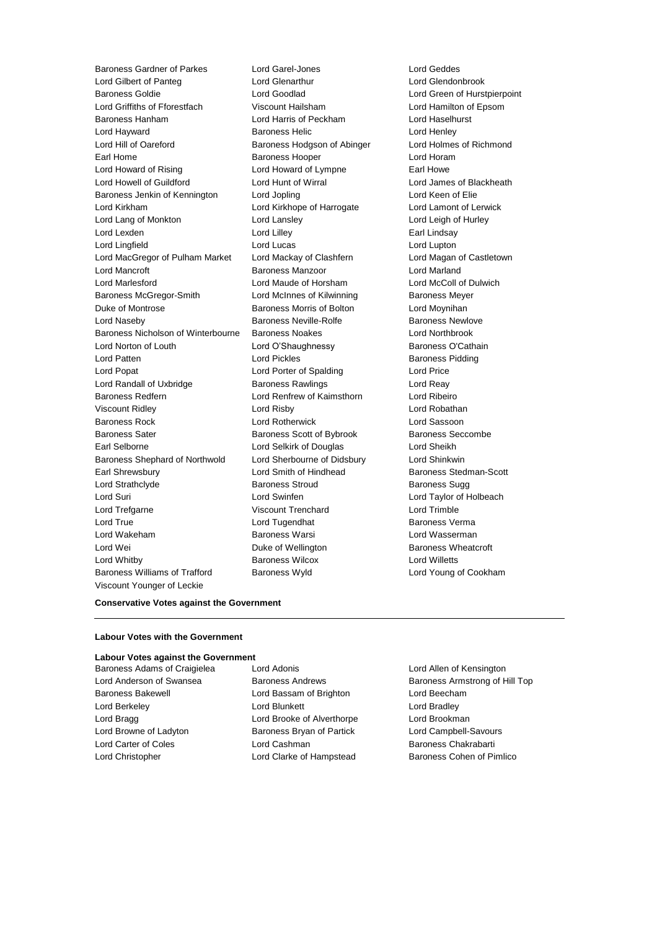Baroness Gardner of Parkes Lord Garel-Jones Lord Geddes Lord Gilbert of Panteg Lord Glenarthur Lord Glendonbrook Baroness Goldie Lord Goodlad Lord Green of Hurstpierpoint Lord Griffiths of Fforestfach Viscount Hailsham Lord Hamilton of Epsom Baroness Hanham Lord Harris of Peckham Lord Haselhurst Lord Hayward Baroness Helic Lord Henley Lord Hill of Oareford Baroness Hodgson of Abinger Lord Holmes of Richmond Earl Home **Baroness Hooper Baroness Hooper Lord Horam** Lord Howard of Rising **Lord Howard of Lympne** Earl Howe Lord Howell of Guildford Lord Hunt of Wirral Lord James of Blackheath Baroness Jenkin of Kennington Lord Jopling Communication Lord Keen of Elie Lord Kirkham Lord Kirkhope of Harrogate Lord Lamont of Lerwick Lord Lang of Monkton Lord Lansley Lord Leigh of Hurley Lord Lexden **Lord Lindsay** Lord Lilley **Communication** Lord Lindsay Lord Lingfield Lord Lucas Lord Lupton Lord MacGregor of Pulham Market Lord Mackay of Clashfern Lord Magan of Castletown Lord Mancroft **Baroness Manzoor Baroness Manzoor** Lord Marland Lord Marlesford Lord Maude of Horsham Lord McColl of Dulwich Baroness McGregor-Smith Lord McInnes of Kilwinning Baroness Meyer Duke of Montrose **Baroness Morris of Bolton** Lord Moynihan Lord Naseby **Baroness Neville-Rolfe** Baroness Newlove Baroness Nicholson of Winterbourne Baroness Noakes Lord Northbrook Lord Norton of Louth Lord O'Shaughnessy **Baroness O'Cathain** Lord Patten **Lord Pickles Baroness Pidding** Lord Popat Lord Porter of Spalding Lord Price Lord Randall of Uxbridge **Baroness Rawlings** Lord Reavenues Lord Reavenues Rawlings Baroness Redfern Lord Renfrew of Kaimsthorn Lord Ribeiro Viscount Ridley Lord Risby Lord Robathan Baroness Rock Lord Rotherwick Lord Sassoon Baroness Sater **Baroness Scott of Bybrook** Baroness Seccombe Earl Selborne Lord Selkirk of Douglas Lord Sheikh Baroness Shephard of Northwold Lord Sherbourne of Didsbury Lord Shinkwin Earl Shrewsbury Lord Smith of Hindhead Baroness Stedman-Scott Lord Strathclyde **Baroness Stroud** Baroness Stroud Baroness Sugg Lord Suri Lord Swinfen Lord Taylor of Holbeach Lord Trefgarne Viscount Trenchard Lord Trimble Lord True Lord Tugendhat Baroness Verma Lord Wakeham **Baroness Warsi** Baroness Warsi Lord Wasserman Lord Wei **Duke of Wellington** Baroness Wheatcroft **Duke** of Wellington Lord Whitby Baroness Wilcox Lord Willetts Baroness Williams of Trafford Baroness Wyld Lord Young of Cookham Viscount Younger of Leckie

### **Conservative Votes against the Government**

#### **Labour Votes with the Government**

### **Labour Votes against the Government**

- 
- Baroness Adams of Craigielea Lord Adonis Lord Allen of Kensington Baroness Bakewell Lord Bassam of Brighton Lord Beecham Lord Berkeley Lord Blunkett Lord Bradley Lord Bragg **Lord Brooke of Alverthorpe** Lord Brookman Lord Browne of Ladyton **Baroness Bryan of Partick** Lord Campbell-Savours Lord Carter of Coles Lord Cashman Baroness Chakrabarti
- Lord Anderson of Swansea **Baroness Andrews** Baroness Andrews Baroness Armstrong of Hill Top Lord Christopher **Lord Clarke of Hampstead** Baroness Cohen of Pimlico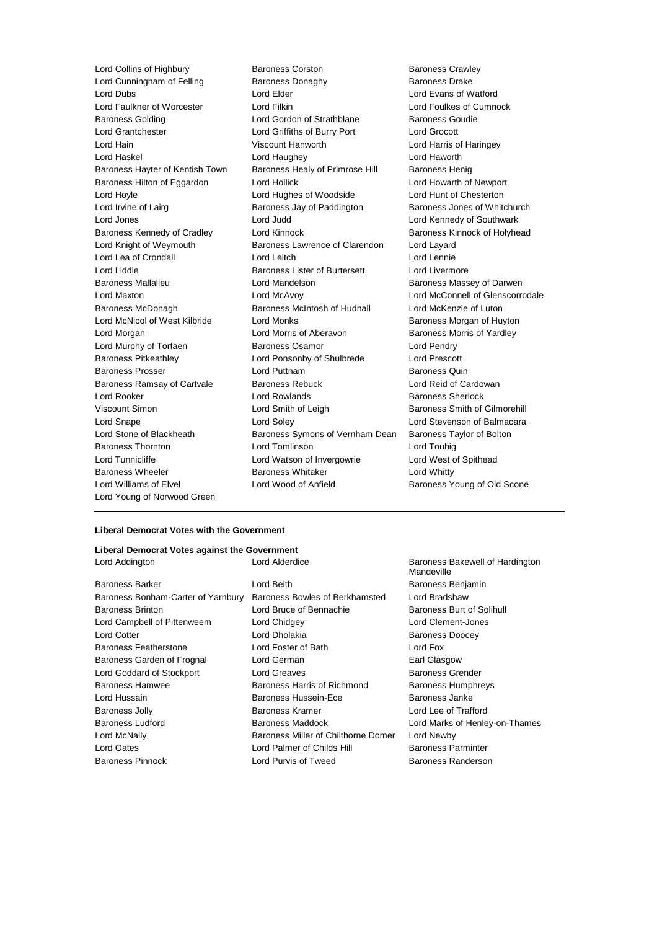Lord Cunningham of Felling Baroness Donaghy Lord Dubs Lord Elder Lord Evans of Watford Lord Faulkner of Worcester Lord Filkin Lord Foulkes of Cumnock Baroness Golding Lord Gordon of Strathblane Baroness Goudie Lord Grantchester Lord Griffiths of Burry Port Lord Grocott Lord Hain Viscount Hanworth Lord Harris of Haringey Lord Haskel Lord Haughey Lord Haworth Baroness Hayter of Kentish Town Baroness Healy of Primrose Hill Baroness Henig Baroness Hilton of Eggardon Lord Hollick Lord Hollick Lord Howarth of Newport Lord Hoyle Lord Hughes of Woodside Lord Hunt of Chesterton Lord Irvine of Lairg **Baroness Jay of Paddington** Baroness Jones of Whitchurch Lord Jones Lord Judd Lord Kennedy of Southwark Baroness Kennedy of Cradley **Lord Kinnock Baroness Kinnock of Holyhead** Baroness Kinnock of Holyhead Lord Knight of Weymouth Baroness Lawrence of Clarendon Lord Layard Lord Lea of Crondall Lord Leitch Lord Lennie Lord Liddle **Baroness Lister of Burtersett** Lord Livermore Baroness Mallalieu **Baroness Mallalieu** Lord Mandelson **Baroness Massey of Darwen** Lord Maxton Lord McAvoy Lord McConnell of Glenscorrodale Baroness McDonagh Baroness McIntosh of Hudnall Lord McKenzie of Luton Lord McNicol of West Kilbride Lord Monks **Baroness Morgan of Huyton** Lord Morgan Lord Morris of Aberavon Baroness Morris of Yardley Lord Murphy of Torfaen **Baroness Osamor** Baroness Osamor Lord Pendry Baroness Pitkeathley Lord Ponsonby of Shulbrede Lord Prescott Baroness Prosser **Example 2** Lord Puttnam **Baroness Quin** Baroness Quin Baroness Ramsay of Cartvale Baroness Rebuck Lord Reid of Cardowan Lord Rooker Lord Rowlands Baroness Sherlock Viscount Simon Lord Smith of Leigh Baroness Smith of Gilmorehill Lord Snape Lord Soley Lord Stevenson of Balmacara Lord Stone of Blackheath Baroness Symons of Vernham Dean Baroness Taylor of Bolton Baroness Thornton Lord Tomlinson Lord Touhig Lord Tunnicliffe **Lord Watson of Invergowrie** Lord West of Spithead Baroness Wheeler **Baroness Whitaker** Lord Whitty Lord Williams of Elvel **Lord Wood of Anfield** Baroness Young of Old Scone Lord Young of Norwood Green

Lord Collins of Highbury **Baroness Corston** Baroness Crawley<br>
Lord Cunningham of Felling **Baroness Donaghy** Baroness Drake

### **Liberal Democrat Votes with the Government**

### **Liberal Democrat Votes against the Government**

| Lord Addington                     | Lord Alderdice                      | Baroness Bakewell of Hardington<br>Mandeville |
|------------------------------------|-------------------------------------|-----------------------------------------------|
| Baroness Barker                    | Lord Beith                          | Baroness Benjamin                             |
| Baroness Bonham-Carter of Yarnbury | Baroness Bowles of Berkhamsted      | Lord Bradshaw                                 |
| <b>Baroness Brinton</b>            | Lord Bruce of Bennachie             | Baroness Burt of Solihull                     |
| Lord Campbell of Pittenweem        | Lord Chidgey                        | Lord Clement-Jones                            |
| <b>Lord Cotter</b>                 | Lord Dholakia                       | <b>Baroness Doocey</b>                        |
| <b>Baroness Featherstone</b>       | Lord Foster of Bath                 | Lord Fox                                      |
| Baroness Garden of Frognal         | Lord German                         | Earl Glasgow                                  |
| Lord Goddard of Stockport          | Lord Greaves                        | <b>Baroness Grender</b>                       |
| <b>Baroness Hamwee</b>             | Baroness Harris of Richmond         | <b>Baroness Humphreys</b>                     |
| Lord Hussain                       | Baroness Hussein-Ece                | Baroness Janke                                |
| <b>Baroness Jolly</b>              | Baroness Kramer                     | Lord Lee of Trafford                          |
| Baroness Ludford                   | Baroness Maddock                    | Lord Marks of Henley-on-Thames                |
| Lord McNally                       | Baroness Miller of Chilthorne Domer | Lord Newby                                    |
| Lord Oates                         | Lord Palmer of Childs Hill          | <b>Baroness Parminter</b>                     |
| <b>Baroness Pinnock</b>            | Lord Purvis of Tweed                | Baroness Randerson                            |